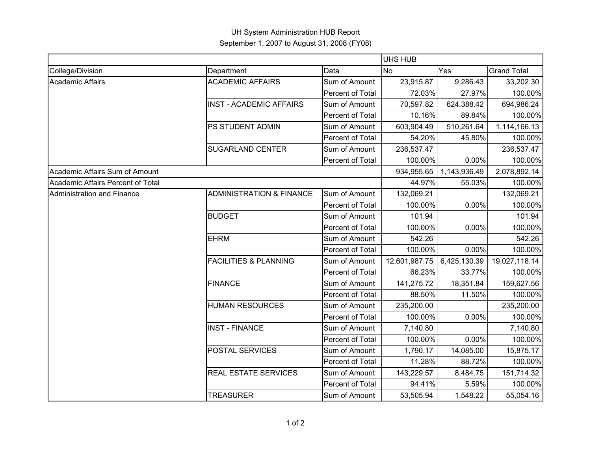## UH System Administration HUB Report September 1, 2007 to August 31, 2008 (FY08)

|                                   |                                     |                  | <b>UHS HUB</b> |              |                    |  |
|-----------------------------------|-------------------------------------|------------------|----------------|--------------|--------------------|--|
| College/Division                  | Department                          | Data             | N <sub>o</sub> | Yes          | <b>Grand Total</b> |  |
| <b>Academic Affairs</b>           | <b>ACADEMIC AFFAIRS</b>             | Sum of Amount    | 23,915.87      | 9,286.43     | 33,202.30          |  |
|                                   |                                     | Percent of Total | 72.03%         | 27.97%       | 100.00%            |  |
|                                   | <b>INST - ACADEMIC AFFAIRS</b>      | Sum of Amount    | 70,597.82      | 624,388.42   | 694,986.24         |  |
|                                   |                                     | Percent of Total | 10.16%         | 89.84%       | 100.00%            |  |
|                                   | PS STUDENT ADMIN                    | Sum of Amount    | 603,904.49     | 510,261.64   | 1,114,166.13       |  |
|                                   |                                     | Percent of Total | 54.20%         | 45.80%       | 100.00%            |  |
|                                   | <b>SUGARLAND CENTER</b>             | Sum of Amount    | 236,537.47     |              | 236,537.47         |  |
|                                   |                                     | Percent of Total | 100.00%        | 0.00%        | 100.00%            |  |
| Academic Affairs Sum of Amount    |                                     |                  | 934,955.65     | 1,143,936.49 | 2,078,892.14       |  |
| Academic Affairs Percent of Total |                                     |                  | 44.97%         | 55.03%       | 100.00%            |  |
| Administration and Finance        | <b>ADMINISTRATION &amp; FINANCE</b> | Sum of Amount    | 132,069.21     |              | 132,069.21         |  |
|                                   |                                     | Percent of Total | 100.00%        | 0.00%        | 100.00%            |  |
|                                   | <b>BUDGET</b>                       | Sum of Amount    | 101.94         |              | 101.94             |  |
|                                   |                                     | Percent of Total | 100.00%        | 0.00%        | 100.00%            |  |
|                                   | <b>EHRM</b>                         | Sum of Amount    | 542.26         |              | 542.26             |  |
|                                   |                                     | Percent of Total | 100.00%        | 0.00%        | 100.00%            |  |
|                                   | <b>FACILITIES &amp; PLANNING</b>    | Sum of Amount    | 12,601,987.75  | 6,425,130.39 | 19,027,118.14      |  |
|                                   |                                     | Percent of Total | 66.23%         | 33.77%       | 100.00%            |  |
|                                   | <b>FINANCE</b>                      | Sum of Amount    | 141,275.72     | 18,351.84    | 159,627.56         |  |
|                                   |                                     | Percent of Total | 88.50%         | 11.50%       | 100.00%            |  |
|                                   | <b>HUMAN RESOURCES</b>              | Sum of Amount    | 235,200.00     |              | 235,200.00         |  |
|                                   |                                     | Percent of Total | 100.00%        | 0.00%        | 100.00%            |  |
|                                   | <b>INST - FINANCE</b>               | Sum of Amount    | 7,140.80       |              | 7,140.80           |  |
|                                   |                                     | Percent of Total | 100.00%        | 0.00%        | 100.00%            |  |
|                                   | POSTAL SERVICES                     | Sum of Amount    | 1,790.17       | 14,085.00    | 15,875.17          |  |
|                                   |                                     | Percent of Total | 11.28%         | 88.72%       | 100.00%            |  |
|                                   | <b>REAL ESTATE SERVICES</b>         | Sum of Amount    | 143,229.57     | 8,484.75     | 151,714.32         |  |
|                                   |                                     | Percent of Total | 94.41%         | 5.59%        | 100.00%            |  |
|                                   | <b>TREASURER</b>                    | Sum of Amount    | 53,505.94      | 1,548.22     | 55,054.16          |  |